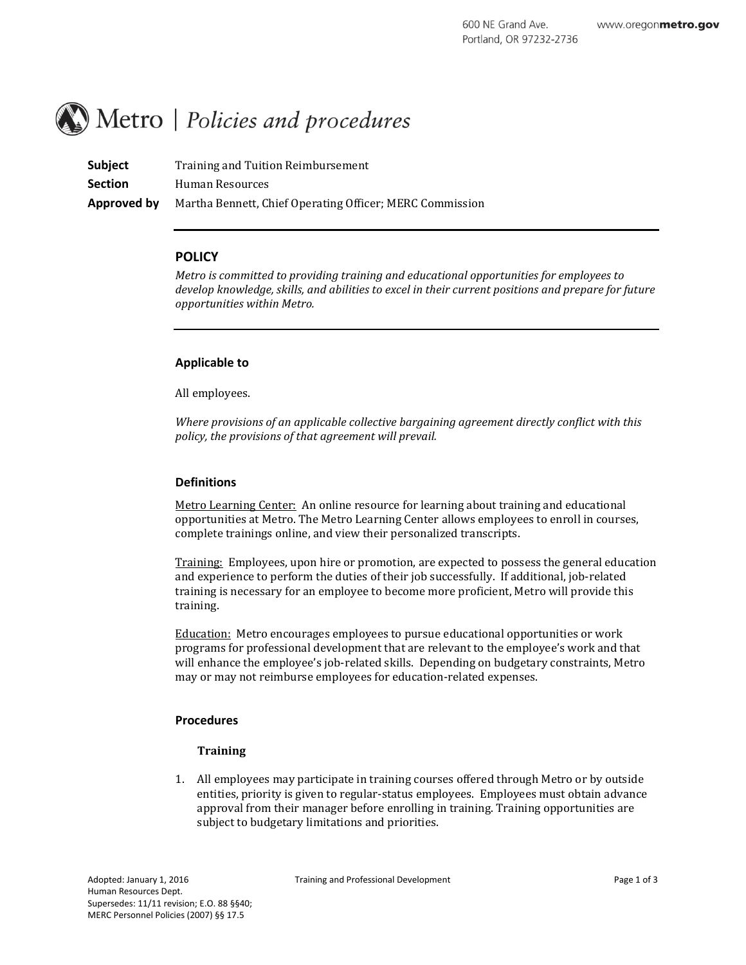# $Metro | *Policies and procedures*$

**Subject** Training and Tuition Reimbursement **Section** Human Resources **Approved by** Martha Bennett, Chief Operating Officer; MERC Commission

## **POLICY**

*Metro is committed to providing training and educational opportunities for employees to develop knowledge, skills, and abilities to excel in their current positions and prepare for future opportunities within Metro.*

## **Applicable to**

All employees.

*Where provisions of an applicable collective bargaining agreement directly conflict with this policy, the provisions of that agreement will prevail.*

## **Definitions**

Metro Learning Center: An online resource for learning about training and educational opportunities at Metro. The Metro Learning Center allows employees to enroll in courses, complete trainings online, and view their personalized transcripts.

Training: Employees, upon hire or promotion, are expected to possess the general education and experience to perform the duties of their job successfully. If additional, job-related training is necessary for an employee to become more proficient, Metro will provide this training.

Education: Metro encourages employees to pursue educational opportunities or work programs for professional development that are relevant to the employee's work and that will enhance the employee's job-related skills. Depending on budgetary constraints, Metro may or may not reimburse employees for education-related expenses.

## **Procedures**

## **Training**

1. All employees may participate in training courses offered through Metro or by outside entities, priority is given to regular-status employees. Employees must obtain advance approval from their manager before enrolling in training. Training opportunities are subject to budgetary limitations and priorities.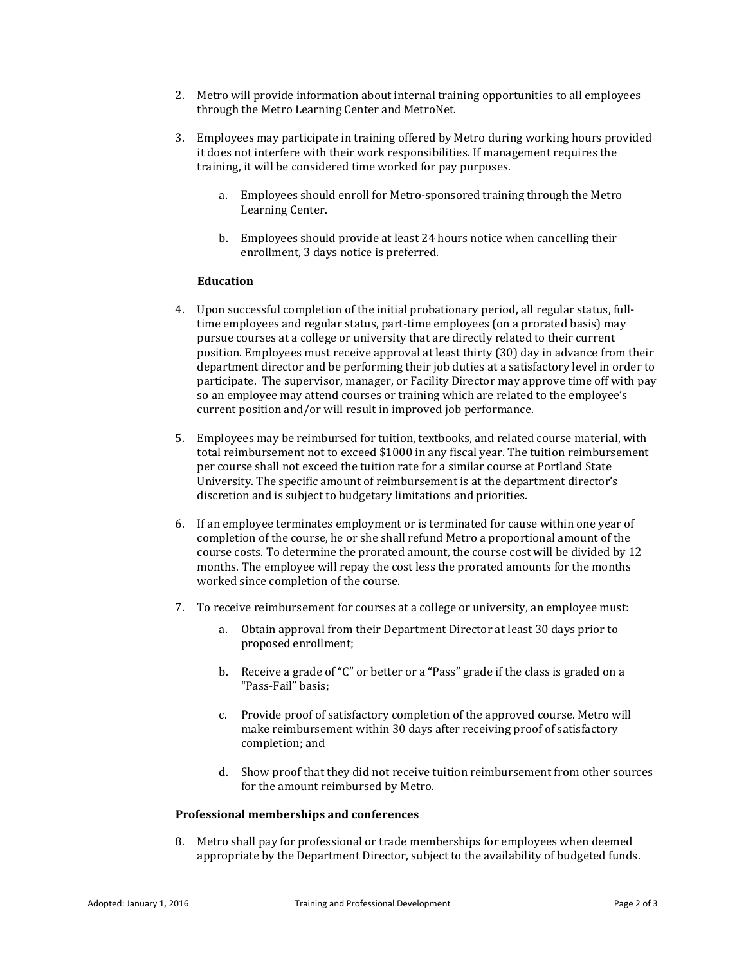- 2. Metro will provide information about internal training opportunities to all employees through the Metro Learning Center and MetroNet.
- 3. Employees may participate in training offered by Metro during working hours provided it does not interfere with their work responsibilities. If management requires the training, it will be considered time worked for pay purposes.
	- a. Employees should enroll for Metro-sponsored training through the Metro Learning Center.
	- b. Employees should provide at least 24 hours notice when cancelling their enrollment, 3 days notice is preferred.

## **Education**

- 4. Upon successful completion of the initial probationary period, all regular status, fulltime employees and regular status, part-time employees (on a prorated basis) may pursue courses at a college or university that are directly related to their current position. Employees must receive approval at least thirty (30) day in advance from their department director and be performing their job duties at a satisfactory level in order to participate. The supervisor, manager, or Facility Director may approve time off with pay so an employee may attend courses or training which are related to the employee's current position and/or will result in improved job performance.
- 5. Employees may be reimbursed for tuition, textbooks, and related course material, with total reimbursement not to exceed \$1000 in any fiscal year. The tuition reimbursement per course shall not exceed the tuition rate for a similar course at Portland State University. The specific amount of reimbursement is at the department director's discretion and is subject to budgetary limitations and priorities.
- 6. If an employee terminates employment or is terminated for cause within one year of completion of the course, he or she shall refund Metro a proportional amount of the course costs. To determine the prorated amount, the course cost will be divided by 12 months. The employee will repay the cost less the prorated amounts for the months worked since completion of the course.
- 7. To receive reimbursement for courses at a college or university, an employee must:
	- a. Obtain approval from their Department Director at least 30 days prior to proposed enrollment;
	- b. Receive a grade of "C" or better or a "Pass" grade if the class is graded on a "Pass-Fail" basis;
	- c. Provide proof of satisfactory completion of the approved course. Metro will make reimbursement within 30 days after receiving proof of satisfactory completion; and
	- d. Show proof that they did not receive tuition reimbursement from other sources for the amount reimbursed by Metro.

#### **Professional memberships and conferences**

8. Metro shall pay for professional or trade memberships for employees when deemed appropriate by the Department Director, subject to the availability of budgeted funds.